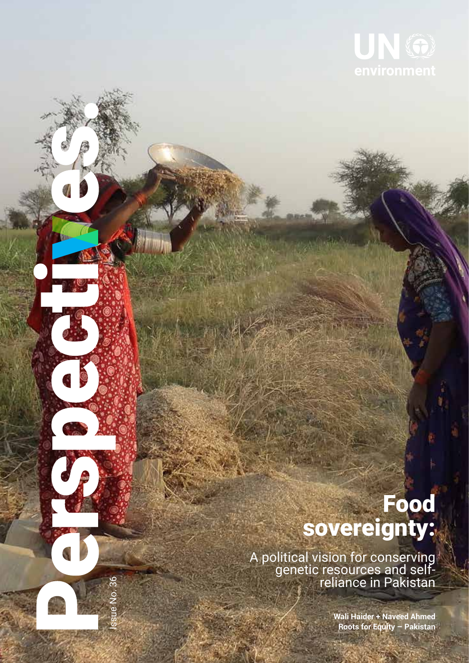

## Food sovereignty:

A political vision for conserving genetic resources and self- reliance in Pakistan

Issue No. 36

**Wali Haider + Naveed Ahmed Roots for Equity – Pakistan**

**1**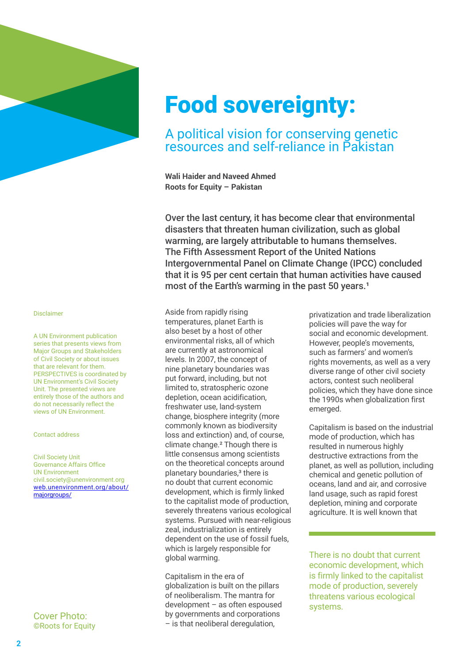

## Food sovereignty:

### A political vision for conserving genetic resources and self-reliance in Pakistan

**Wali Haider and Naveed Ahmed Roots for Equity – Pakistan**

Over the last century, it has become clear that environmental disasters that threaten human civilization, such as global warming, are largely attributable to humans themselves. The Fifth Assessment Report of the United Nations Intergovernmental Panel on Climate Change (IPCC) concluded that it is 95 per cent certain that human activities have caused most of the Earth's warming in the past 50 years.<sup>1</sup>

Aside from rapidly rising temperatures, planet Earth is also beset by a host of other environmental risks, all of which are currently at astronomical levels. In 2007, the concept of nine planetary boundaries was put forward, including, but not limited to, stratospheric ozone depletion, ocean acidification, freshwater use, land-system change, biosphere integrity (more commonly known as biodiversity loss and extinction) and, of course, climate change.² Though there is little consensus among scientists on the theoretical concepts around planetary boundaries,<sup>3</sup> there is no doubt that current economic development, which is firmly linked to the capitalist mode of production, severely threatens various ecological systems. Pursued with near-religious zeal, industrialization is entirely dependent on the use of fossil fuels, which is largely responsible for global warming.

Capitalism in the era of globalization is built on the pillars of neoliberalism. The mantra for development – as often espoused by governments and corporations – is that neoliberal deregulation,

privatization and trade liberalization policies will pave the way for social and economic development. However, people's movements, such as farmers' and women's rights movements, as well as a very diverse range of other civil society actors, contest such neoliberal policies, which they have done since the 1990s when globalization first emerged.

Capitalism is based on the industrial mode of production, which has resulted in numerous highly destructive extractions from the planet, as well as pollution, including chemical and genetic pollution of oceans, land and air, and corrosive land usage, such as rapid forest depletion, mining and corporate agriculture. It is well known that

There is no doubt that current economic development, which is firmly linked to the capitalist mode of production, severely threatens various ecological systems.

#### Disclaimer

A UN Environment publication series that presents views from Major Groups and Stakeholders of Civil Society or about issues that are relevant for them. PERSPECTIVES is coordinated by UN Environment's Civil Society Unit. The presented views are entirely those of the authors and do not necessarily reflect the views of UN Environment.

#### Contact address

Civil Society Unit Governance Affairs Office UN Environment civil.society@unenvironment.org web.unenvironment.org/about/ majorgroups/

Cover Photo: ©Roots for Equity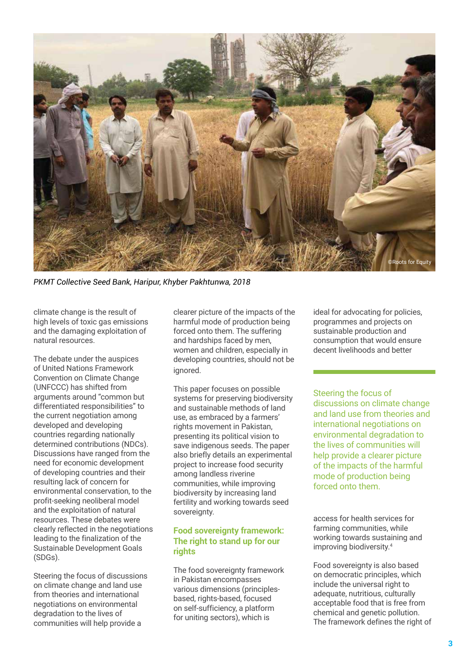

*PKMT Collective Seed Bank, Haripur, Khyber Pakhtunwa, 2018*

climate change is the result of high levels of toxic gas emissions and the damaging exploitation of natural resources.

The debate under the auspices of United Nations Framework Convention on Climate Change (UNFCCC) has shifted from arguments around "common but differentiated responsibilities" to the current negotiation among developed and developing countries regarding nationally determined contributions (NDCs). Discussions have ranged from the need for economic development of developing countries and their resulting lack of concern for environmental conservation, to the profit-seeking neoliberal model and the exploitation of natural resources. These debates were clearly reflected in the negotiations leading to the finalization of the Sustainable Development Goals (SDGs).

Steering the focus of discussions on climate change and land use from theories and international negotiations on environmental degradation to the lives of communities will help provide a

clearer picture of the impacts of the harmful mode of production being forced onto them. The suffering and hardships faced by men, women and children, especially in developing countries, should not be ignored.

This paper focuses on possible systems for preserving biodiversity and sustainable methods of land use, as embraced by a farmers' rights movement in Pakistan, presenting its political vision to save indigenous seeds. The paper also briefly details an experimental project to increase food security among landless riverine communities, while improving biodiversity by increasing land fertility and working towards seed sovereignty.

### **Food sovereignty framework: The right to stand up for our rights**

The food sovereignty framework in Pakistan encompasses various dimensions (principlesbased, rights-based, focused on self-sufficiency, a platform for uniting sectors), which is

ideal for advocating for policies, programmes and projects on sustainable production and consumption that would ensure decent livelihoods and better

Steering the focus of discussions on climate change and land use from theories and international negotiations on environmental degradation to the lives of communities will help provide a clearer picture of the impacts of the harmful mode of production being forced onto them.

access for health services for farming communities, while working towards sustaining and improving biodiversity.4

Food sovereignty is also based on democratic principles, which include the universal right to adequate, nutritious, culturally acceptable food that is free from chemical and genetic pollution. The framework defines the right of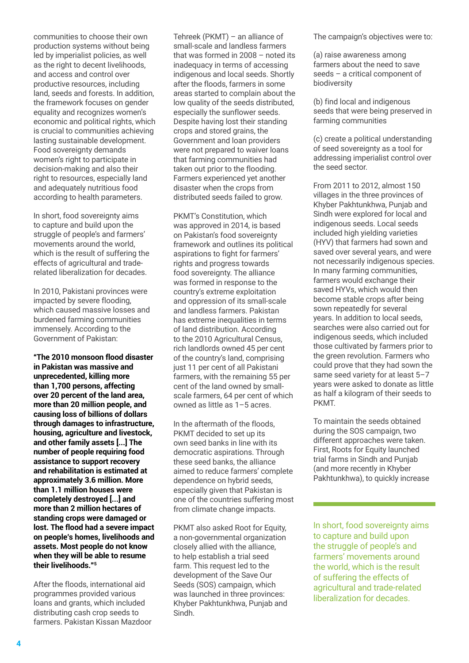communities to choose their own production systems without being led by imperialist policies, as well as the right to decent livelihoods, and access and control over productive resources, including land, seeds and forests. In addition, the framework focuses on gender equality and recognizes women's economic and political rights, which is crucial to communities achieving lasting sustainable development. Food sovereignty demands women's right to participate in decision-making and also their right to resources, especially land and adequately nutritious food according to health parameters.

In short, food sovereignty aims to capture and build upon the struggle of people's and farmers' movements around the world, which is the result of suffering the effects of agricultural and traderelated liberalization for decades.

In 2010, Pakistani provinces were impacted by severe flooding, which caused massive losses and burdened farming communities immensely. According to the Government of Pakistan:

**"The 2010 monsoon flood disaster in Pakistan was massive and unprecedented, killing more than 1,700 persons, affecting over 20 percent of the land area, more than 20 million people, and causing loss of billions of dollars through damages to infrastructure, housing, agriculture and livestock, and other family assets [...] The number of people requiring food assistance to support recovery and rehabilitation is estimated at approximately 3.6 million. More than 1.1 million houses were completely destroyed [...] and more than 2 million hectares of standing crops were damaged or lost. The flood had a severe impact on people's homes, livelihoods and assets. Most people do not know when they will be able to resume their livelihoods."5**

After the floods, international aid programmes provided various loans and grants, which included distributing cash crop seeds to farmers. Pakistan Kissan Mazdoor Tehreek (PKMT) – an alliance of small-scale and landless farmers that was formed in 2008 – noted its inadequacy in terms of accessing indigenous and local seeds. Shortly after the floods, farmers in some areas started to complain about the low quality of the seeds distributed, especially the sunflower seeds. Despite having lost their standing crops and stored grains, the Government and loan providers were not prepared to waiver loans that farming communities had taken out prior to the flooding. Farmers experienced yet another disaster when the crops from distributed seeds failed to grow.

PKMT's Constitution, which was approved in 2014, is based on Pakistan's food sovereignty framework and outlines its political aspirations to fight for farmers' rights and progress towards food sovereignty. The alliance was formed in response to the country's extreme exploitation and oppression of its small-scale and landless farmers. Pakistan has extreme inequalities in terms of land distribution. According to the 2010 Agricultural Census, rich landlords owned 45 per cent of the country's land, comprising just 11 per cent of all Pakistani farmers, with the remaining 55 per cent of the land owned by smallscale farmers, 64 per cent of which owned as little as 1–5 acres.

In the aftermath of the floods, PKMT decided to set up its own seed banks in line with its democratic aspirations. Through these seed banks, the alliance aimed to reduce farmers' complete dependence on hybrid seeds, especially given that Pakistan is one of the countries suffering most from climate change impacts.

PKMT also asked Root for Equity, a non-governmental organization closely allied with the alliance, to help establish a trial seed farm. This request led to the development of the Save Our Seeds (SOS) campaign, which was launched in three provinces: Khyber Pakhtunkhwa, Punjab and Sindh.

The campaign's objectives were to:

(a) raise awareness among farmers about the need to save seeds – a critical component of biodiversity

(b) find local and indigenous seeds that were being preserved in farming communities

(c) create a political understanding of seed sovereignty as a tool for addressing imperialist control over the seed sector.

From 2011 to 2012, almost 150 villages in the three provinces of Khyber Pakhtunkhwa, Punjab and Sindh were explored for local and indigenous seeds. Local seeds included high yielding varieties (HYV) that farmers had sown and saved over several years, and were not necessarily indigenous species. In many farming communities, farmers would exchange their saved HYVs, which would then become stable crops after being sown repeatedly for several years. In addition to local seeds, searches were also carried out for indigenous seeds, which included those cultivated by farmers prior to the green revolution. Farmers who could prove that they had sown the same seed variety for at least 5–7 years were asked to donate as little as half a kilogram of their seeds to PKMT.

To maintain the seeds obtained during the SOS campaign, two different approaches were taken. First, Roots for Equity launched trial farms in Sindh and Punjab (and more recently in Khyber Pakhtunkhwa), to quickly increase

In short, food sovereignty aims to capture and build upon the struggle of people's and farmers' movements around the world, which is the result of suffering the effects of agricultural and trade-related liberalization for decades.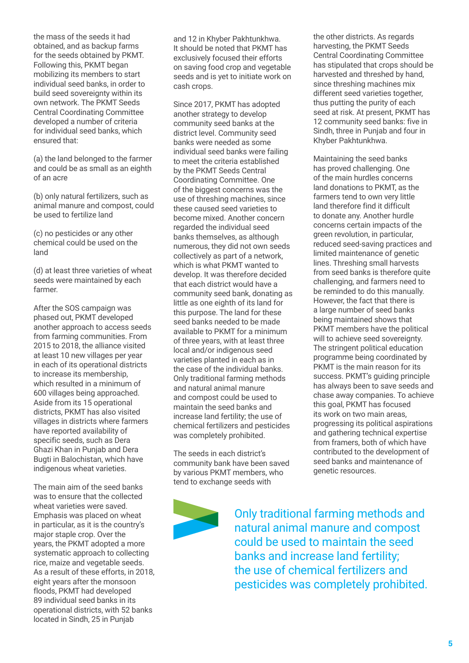the mass of the seeds it had obtained, and as backup farms for the seeds obtained by PKMT. Following this, PKMT began mobilizing its members to start individual seed banks, in order to build seed sovereignty within its own network. The PKMT Seeds Central Coordinating Committee developed a number of criteria for individual seed banks, which ensured that:

(a) the land belonged to the farmer and could be as small as an eighth of an acre

(b) only natural fertilizers, such as animal manure and compost, could be used to fertilize land

(c) no pesticides or any other chemical could be used on the land

(d) at least three varieties of wheat seeds were maintained by each farmer.

After the SOS campaign was phased out, PKMT developed another approach to access seeds from farming communities. From 2015 to 2018, the alliance visited at least 10 new villages per year in each of its operational districts to increase its membership, which resulted in a minimum of 600 villages being approached. Aside from its 15 operational districts, PKMT has also visited villages in districts where farmers have reported availability of specific seeds, such as Dera Ghazi Khan in Punjab and Dera Bugti in Balochistan, which have indigenous wheat varieties.

The main aim of the seed banks was to ensure that the collected wheat varieties were saved. Emphasis was placed on wheat in particular, as it is the country's major staple crop. Over the years, the PKMT adopted a more systematic approach to collecting rice, maize and vegetable seeds. As a result of these efforts, in 2018, eight years after the monsoon floods, PKMT had developed 89 individual seed banks in its operational districts, with 52 banks located in Sindh, 25 in Punjab

and 12 in Khyber Pakhtunkhwa. It should be noted that PKMT has exclusively focused their efforts on saving food crop and vegetable seeds and is yet to initiate work on cash crops.

Since 2017, PKMT has adopted another strategy to develop community seed banks at the district level. Community seed banks were needed as some individual seed banks were failing to meet the criteria established by the PKMT Seeds Central Coordinating Committee. One of the biggest concerns was the use of threshing machines, since these caused seed varieties to become mixed. Another concern regarded the individual seed banks themselves, as although numerous, they did not own seeds collectively as part of a network, which is what PKMT wanted to develop. It was therefore decided that each district would have a community seed bank, donating as little as one eighth of its land for this purpose. The land for these seed banks needed to be made available to PKMT for a minimum of three years, with at least three local and/or indigenous seed varieties planted in each as in the case of the individual banks. Only traditional farming methods and natural animal manure and compost could be used to maintain the seed banks and increase land fertility; the use of chemical fertilizers and pesticides was completely prohibited.

The seeds in each district's community bank have been saved by various PKMT members, who tend to exchange seeds with



the other districts. As regards harvesting, the PKMT Seeds Central Coordinating Committee has stipulated that crops should be harvested and threshed by hand, since threshing machines mix different seed varieties together, thus putting the purity of each seed at risk. At present, PKMT has 12 community seed banks: five in Sindh, three in Punjab and four in Khyber Pakhtunkhwa.

Maintaining the seed banks has proved challenging. One of the main hurdles concerns land donations to PKMT, as the farmers tend to own very little land therefore find it difficult to donate any. Another hurdle concerns certain impacts of the green revolution, in particular, reduced seed-saving practices and limited maintenance of genetic lines. Threshing small harvests from seed banks is therefore quite challenging, and farmers need to be reminded to do this manually. However, the fact that there is a large number of seed banks being maintained shows that PKMT members have the political will to achieve seed sovereignty. The stringent political education programme being coordinated by PKMT is the main reason for its success. PKMT's guiding principle has always been to save seeds and chase away companies. To achieve this goal, PKMT has focused its work on two main areas, progressing its political aspirations and gathering technical expertise from framers, both of which have contributed to the development of seed banks and maintenance of genetic resources.

Only traditional farming methods and natural animal manure and compost could be used to maintain the seed banks and increase land fertility; the use of chemical fertilizers and pesticides was completely prohibited.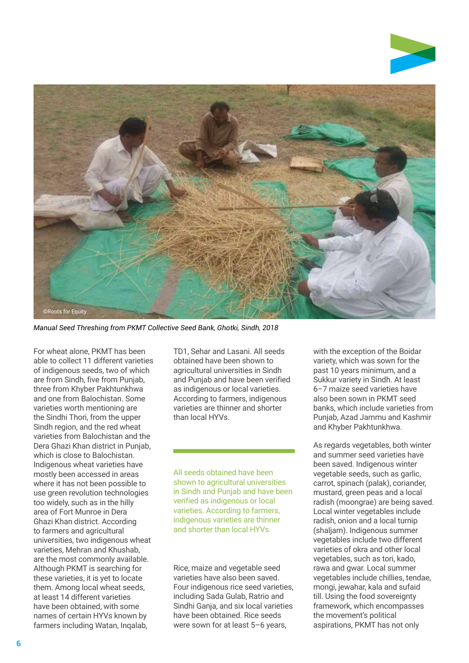

*Manual Seed Threshing from PKMT Collective Seed Bank, Ghotki, Sindh, 2018*

For wheat alone, PKMT has been able to collect 11 different varieties of indigenous seeds, two of which are from Sindh, five from Punjab, three from Khyber Pakhtunkhwa and one from Balochistan. Some varieties worth mentioning are the Sindhi Thori, from the upper Sindh region, and the red wheat varieties from Balochistan and the Dera Ghazi Khan district in Punjab, which is close to Balochistan. Indigenous wheat varieties have mostly been accessed in areas where it has not been possible to use green revolution technologies too widely, such as in the hilly area of Fort Munroe in Dera Ghazi Khan district. According to farmers and agricultural universities, two indigenous wheat varieties, Mehran and Khushab, are the most commonly available. Although PKMT is searching for these varieties, it is yet to locate them. Among local wheat seeds, at least 14 different varieties have been obtained, with some names of certain HYVs known by farmers including Watan, Inqalab,

TD1, Sehar and Lasani. All seeds obtained have been shown to agricultural universities in Sindh and Punjab and have been verified as indigenous or local varieties. According to farmers, indigenous varieties are thinner and shorter than local HYVs.

All seeds obtained have been shown to agricultural universities in Sindh and Punjab and have been verified as indigenous or local varieties. According to farmers, indigenous varieties are thinner and shorter than local HYVs.

#### Rice, maize and vegetable seed varieties have also been saved. Four indigenous rice seed varieties, including Sada Gulab, Ratrio and Sindhi Ganja, and six local varieties have been obtained. Rice seeds were sown for at least 5–6 years,

with the exception of the Boidar variety, which was sown for the past 10 years minimum, and a Sukkur variety in Sindh. At least 6–7 maize seed varieties have also been sown in PKMT seed banks, which include varieties from Punjab, Azad Jammu and Kashmir and Khyber Pakhtunkhwa.

As regards vegetables, both winter and summer seed varieties have been saved. Indigenous winter vegetable seeds, such as garlic, carrot, spinach (palak), coriander, mustard, green peas and a local radish (moongrae) are being saved. Local winter vegetables include radish, onion and a local turnip (shaljam). Indigenous summer vegetables include two different varieties of okra and other local vegetables, such as tori, kado, rawa and gwar. Local summer vegetables include chillies, tendae, mongi, jewahar, kala and sufaid till. Using the food sovereignty framework, which encompasses the movement's political aspirations, PKMT has not only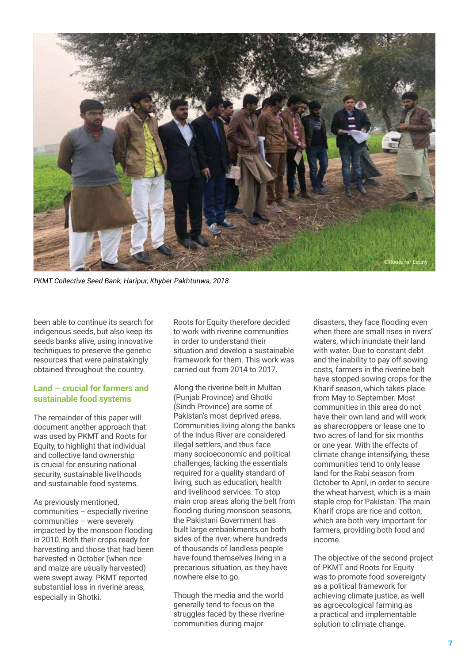

*PKMT Collective Seed Bank, Haripur, Khyber Pakhtunwa, 2018*

been able to continue its search for indigenous seeds, but also keep its seeds banks alive, using innovative techniques to preserve the genetic resources that were painstakingly obtained throughout the country.

### **Land – crucial for farmers and sustainable food systems**

The remainder of this paper will document another approach that was used by PKMT and Roots for Equity, to highlight that individual and collective land ownership is crucial for ensuring national security, sustainable livelihoods and sustainable food systems.

As previously mentioned, communities – especially riverine communities – were severely impacted by the monsoon flooding in 2010. Both their crops ready for harvesting and those that had been harvested in October (when rice and maize are usually harvested) were swept away. PKMT reported substantial loss in riverine areas, especially in Ghotki.

Roots for Equity therefore decided to work with riverine communities in order to understand their situation and develop a sustainable framework for them. This work was carried out from 2014 to 2017.

Along the riverine belt in Multan (Punjab Province) and Ghotki (Sindh Province) are some of Pakistan's most deprived areas. Communities living along the banks of the Indus River are considered illegal settlers, and thus face many socioeconomic and political challenges, lacking the essentials required for a quality standard of living, such as education, health and livelihood services. To stop main crop areas along the belt from flooding during monsoon seasons, the Pakistani Government has built large embankments on both sides of the river, where hundreds of thousands of landless people have found themselves living in a precarious situation, as they have nowhere else to go.

Though the media and the world generally tend to focus on the struggles faced by these riverine communities during major

disasters, they face flooding even when there are small rises in rivers' waters, which inundate their land with water. Due to constant debt and the inability to pay off sowing costs, farmers in the riverine belt have stopped sowing crops for the Kharif season, which takes place from May to September. Most communities in this area do not have their own land and will work as sharecroppers or lease one to two acres of land for six months or one year. With the effects of climate change intensifying, these communities tend to only lease land for the Rabi season from October to April, in order to secure the wheat harvest, which is a main staple crop for Pakistan. The main Kharif crops are rice and cotton, which are both very important for farmers, providing both food and income.

The objective of the second project of PKMT and Roots for Equity was to promote food sovereignty as a political framework for achieving climate justice, as well as agroecological farming as a practical and implementable solution to climate change.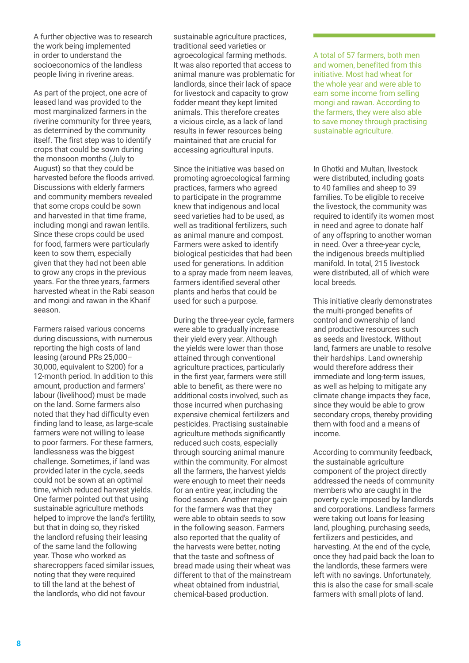A further objective was to research the work being implemented in order to understand the socioeconomics of the landless people living in riverine areas.

As part of the project, one acre of leased land was provided to the most marginalized farmers in the riverine community for three years, as determined by the community itself. The first step was to identify crops that could be sown during the monsoon months (July to August) so that they could be harvested before the floods arrived. Discussions with elderly farmers and community members revealed that some crops could be sown and harvested in that time frame, including mongi and rawan lentils. Since these crops could be used for food, farmers were particularly keen to sow them, especially given that they had not been able to grow any crops in the previous years. For the three years, farmers harvested wheat in the Rabi season and mongi and rawan in the Kharif season.

Farmers raised various concerns during discussions, with numerous reporting the high costs of land leasing (around PRs 25,000– 30,000, equivalent to \$200) for a 12-month period. In addition to this amount, production and farmers' labour (livelihood) must be made on the land. Some farmers also noted that they had difficulty even finding land to lease, as large-scale farmers were not willing to lease to poor farmers. For these farmers, landlessness was the biggest challenge. Sometimes, if land was provided later in the cycle, seeds could not be sown at an optimal time, which reduced harvest yields. One farmer pointed out that using sustainable agriculture methods helped to improve the land's fertility, but that in doing so, they risked the landlord refusing their leasing of the same land the following year. Those who worked as sharecroppers faced similar issues, noting that they were required to till the land at the behest of the landlords, who did not favour

sustainable agriculture practices, traditional seed varieties or agroecological farming methods. It was also reported that access to animal manure was problematic for landlords, since their lack of space for livestock and capacity to grow fodder meant they kept limited animals. This therefore creates a vicious circle, as a lack of land results in fewer resources being maintained that are crucial for accessing agricultural inputs.

Since the initiative was based on promoting agroecological farming practices, farmers who agreed to participate in the programme knew that indigenous and local seed varieties had to be used, as well as traditional fertilizers, such as animal manure and compost. Farmers were asked to identify biological pesticides that had been used for generations. In addition to a spray made from neem leaves, farmers identified several other plants and herbs that could be used for such a purpose.

During the three-year cycle, farmers were able to gradually increase their yield every year. Although the yields were lower than those attained through conventional agriculture practices, particularly in the first year, farmers were still able to benefit, as there were no additional costs involved, such as those incurred when purchasing expensive chemical fertilizers and pesticides. Practising sustainable agriculture methods significantly reduced such costs, especially through sourcing animal manure within the community. For almost all the farmers, the harvest yields were enough to meet their needs for an entire year, including the flood season. Another major gain for the farmers was that they were able to obtain seeds to sow in the following season. Farmers also reported that the quality of the harvests were better, noting that the taste and softness of bread made using their wheat was different to that of the mainstream wheat obtained from industrial. chemical-based production.

A total of 57 farmers, both men and women, benefited from this initiative. Most had wheat for the whole year and were able to earn some income from selling mongi and rawan. According to the farmers, they were also able to save money through practising sustainable agriculture.

In Ghotki and Multan, livestock were distributed, including goats to 40 families and sheep to 39 families. To be eligible to receive the livestock, the community was required to identify its women most in need and agree to donate half of any offspring to another woman in need. Over a three-year cycle, the indigenous breeds multiplied manifold. In total, 215 livestock were distributed, all of which were local breeds.

This initiative clearly demonstrates the multi-pronged benefits of control and ownership of land and productive resources such as seeds and livestock. Without land, farmers are unable to resolve their hardships. Land ownership would therefore address their immediate and long-term issues, as well as helping to mitigate any climate change impacts they face, since they would be able to grow secondary crops, thereby providing them with food and a means of income.

According to community feedback, the sustainable agriculture component of the project directly addressed the needs of community members who are caught in the poverty cycle imposed by landlords and corporations. Landless farmers were taking out loans for leasing land, ploughing, purchasing seeds, fertilizers and pesticides, and harvesting. At the end of the cycle, once they had paid back the loan to the landlords, these farmers were left with no savings. Unfortunately, this is also the case for small-scale farmers with small plots of land.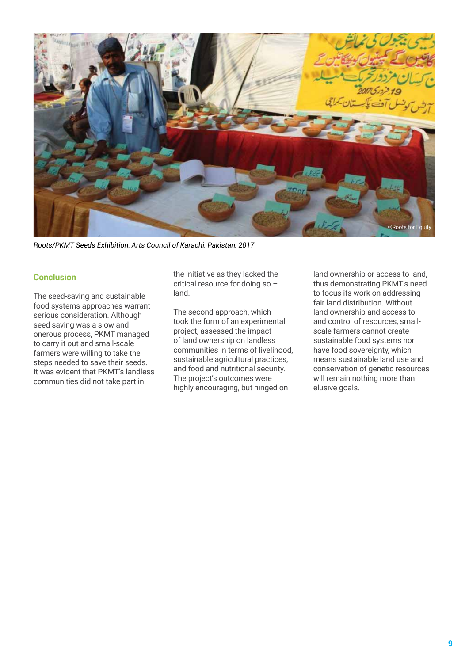

*Roots/PKMT Seeds Exhibition, Arts Council of Karachi, Pakistan, 2017*

#### **Conclusion**

The seed-saving and sustainable food systems approaches warrant serious consideration. Although seed saving was a slow and onerous process, PKMT managed to carry it out and small-scale farmers were willing to take the steps needed to save their seeds. It was evident that PKMT's landless communities did not take part in

the initiative as they lacked the critical resource for doing so – land.

The second approach, which took the form of an experimental project, assessed the impact of land ownership on landless communities in terms of livelihood, sustainable agricultural practices, and food and nutritional security. The project's outcomes were highly encouraging, but hinged on

land ownership or access to land, thus demonstrating PKMT's need to focus its work on addressing fair land distribution. Without land ownership and access to and control of resources, smallscale farmers cannot create sustainable food systems nor have food sovereignty, which means sustainable land use and conservation of genetic resources will remain nothing more than elusive goals.